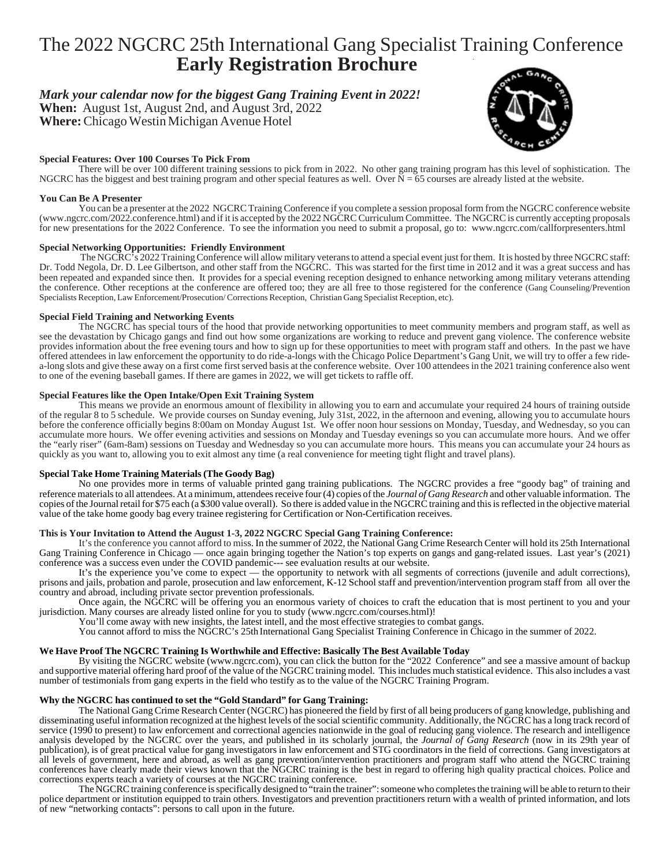# The 2022 NGCRC 25th International Gang Specialist Training Conference  **Early Registration Brochure**

### *Mark your calendar now for the biggest Gang Training Event in 2022!*

**When:** August 1st, August 2nd, and August 3rd, 2022 **Where:** Chicago Westin Michigan Avenue Hotel

### **Special Features: Over 100 Courses To Pick From**

There will be over 100 different training sessions to pick from in 2022. No other gang training program has this level of sophistication. The NGCRC has the biggest and best training program and other special features as well. Over  $N = 65$  courses are already listed at the website.

#### **You Can Be A Presenter**

You can be a presenter at the 2022 NGCRC Training Conference if you complete a session proposal form from the NGCRC conference website (www.ngcrc.com/2022.conference.html) and if it is accepted by the 2022 NGCRC Curriculum Committee. The NGCRC is currently accepting proposals for new presentations for the 2022 Conference. To see the information you need to submit a proposal, go to: www.ngcrc.com/callforpresenters.html

#### **Special Networking Opportunities: Friendly Environment**

 The NGCRC's 2022 Training Conference will allow military veterans to attend a special event just for them. It is hosted by three NGCRC staff: Dr. Todd Negola, Dr. D. Lee Gilbertson, and other staff from the NGCRC. This was started for the first time in 2012 and it was a great success and has been repeated and expanded since then. It provides for a special evening reception designed to enhance networking among military veterans attending the conference. Other receptions at the conference are offered too; they are all free to those registered for the conference (Gang Counseling/Prevention Specialists Reception, Law Enforcement/Prosecution/ Corrections Reception, Christian Gang Specialist Reception, etc).

#### **Special Field Training and Networking Events**

The NGCRC has special tours of the hood that provide networking opportunities to meet community members and program staff, as well as see the devastation by Chicago gangs and find out how some organizations are working to reduce and prevent gang violence. The conference website provides information about the free evening tours and how to sign up for these opportunities to meet with program staff and others. In the past we have offered attendees in law enforcement the opportunity to do ride-a-longs with the Chicago Police Department's Gang Unit, we will try to offer a few ridea-long slots and give these away on a first come first served basis at the conference website. Over 100 attendees in the 2021 training conference also went to one of the evening baseball games. If there are games in 2022, we will get tickets to raffle off.

#### **Special Features like the Open Intake/Open Exit Training System**

This means we provide an enormous amount of flexibility in allowing you to earn and accumulate your required 24 hours of training outside of the regular 8 to 5 schedule. We provide courses on Sunday evening, July 31st, 2022, in the afternoon and evening, allowing you to accumulate hours before the conference officially begins 8:00am on Monday August 1st. We offer noon hour sessions on Monday, Tuesday, and Wednesday, so you can accumulate more hours. We offer evening activities and sessions on Monday and Tuesday evenings so you can accumulate more hours. And we offer the "early riser" (6am-8am) sessions on Tuesday and Wednesday so you can accumulate more hours. This means you can accumulate your 24 hours as quickly as you want to, allowing you to exit almost any time (a real convenience for meeting tight flight and travel plans).

### **Special Take Home Training Materials (The Goody Bag)**

No one provides more in terms of valuable printed gang training publications. The NGCRC provides a free "goody bag" of training and reference materials to all attendees. At a minimum, attendees receive four (4) copies of the *Journal of Gang Research* and other valuable information. The copies of the Journal retail for \$75 each (a \$300 value overall). So there is added value in the NGCRC training and this is reflected in the objective material value of the take home goody bag every trainee registering for Certification or Non-Certification receives.

#### **This is Your Invitation to Attend the August 1-3, 2022 NGCRC Special Gang Training Conference:**

It's the conference you cannot afford to miss. In the summer of 2022, the National Gang Crime Research Center will hold its 25th International Gang Training Conference in Chicago — once again bringing together the Nation's top experts on gangs and gang-related issues. Last year's (2021) conference was a success even under the COVID pandemic--- see evaluation results at our website.

It's the experience you've come to expect — the opportunity to network with all segments of corrections (juvenile and adult corrections), prisons and jails, probation and parole, prosecution and law enforcement, K-12 School staff and prevention/intervention program staff from all over the country and abroad, including private sector prevention professionals.

Once again, the NGCRC will be offering you an enormous variety of choices to craft the education that is most pertinent to you and your jurisdiction. Many courses are already listed online for you to study (www.ngcrc.com/courses.html)!

You'll come away with new insights, the latest intell, and the most effective strategies to combat gangs.

You cannot afford to miss the NGCRC's 25th International Gang Specialist Training Conference in Chicago in the summer of 2022.

### **We Have Proof The NGCRC Training Is Worthwhile and Effective: Basically The Best Available Today**

By visiting the NGCRC website (www.ngcrc.com), you can click the button for the "2022 Conference" and see a massive amount of backup and supportive material offering hard proof of the value of the NGCRC training model. This includes much statistical evidence. This also includes a vast number of testimonials from gang experts in the field who testify as to the value of the NGCRC Training Program.

#### **Why the NGCRC has continued to set the "Gold Standard" for Gang Training:**

The National Gang Crime Research Center (NGCRC) has pioneered the field by first of all being producers of gang knowledge, publishing and disseminating useful information recognized at the highest levels of the social scientific community. Additionally, the NGCRC has a long track record of service (1990 to present) to law enforcement and correctional agencies nationwide in the goal of reducing gang violence. The research and intelligence analysis developed by the NGCRC over the years, and published in its scholarly journal, the *Journal of Gang Research* (now in its 29th year of publication), is of great practical value for gang investigators in law enforcement and STG coordinators in the field of corrections. Gang investigators at all levels of government, here and abroad, as well as gang prevention/intervention practitioners and program staff who attend the NGCRC training conferences have clearly made their views known that the NGCRC training is the best in regard to offering high quality practical choices. Police and corrections experts teach a variety of courses at the NGCRC training conference.

The NGCRC training conference is specifically designed to "train the trainer": someone who completes the training will be able to return to their police department or institution equipped to train others. Investigators and prevention practitioners return with a wealth of printed information, and lots of new "networking contacts": persons to call upon in the future.

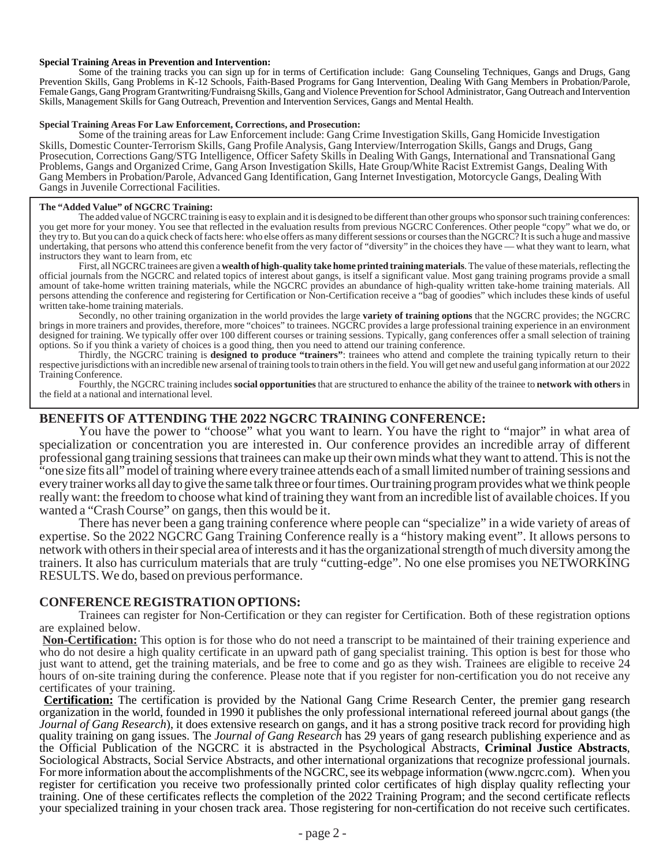#### **Special Training Areas in Prevention and Intervention:**

Some of the training tracks you can sign up for in terms of Certification include: Gang Counseling Techniques, Gangs and Drugs, Gang Prevention Skills, Gang Problems in K-12 Schools, Faith-Based Programs for Gang Intervention, Dealing With Gang Members in Probation/Parole, Female Gangs, Gang Program Grantwriting/Fundraisng Skills, Gang and Violence Prevention for School Administrator, Gang Outreach and Intervention Skills, Management Skills for Gang Outreach, Prevention and Intervention Services, Gangs and Mental Health.

#### **Special Training Areas For Law Enforcement, Corrections, and Prosecution:**

Some of the training areas for Law Enforcement include: Gang Crime Investigation Skills, Gang Homicide Investigation Skills, Domestic Counter-Terrorism Skills, Gang Profile Analysis, Gang Interview/Interrogation Skills, Gangs and Drugs, Gang Prosecution, Corrections Gang/STG Intelligence, Officer Safety Skills in Dealing With Gangs, International and Transnational Gang Problems, Gangs and Organized Crime, Gang Arson Investigation Skills, Hate Group/White Racist Extremist Gangs, Dealing With Gang Members in Probation/Parole, Advanced Gang Identification, Gang Internet Investigation, Motorcycle Gangs, Dealing With Gangs in Juvenile Correctional Facilities.

#### **The "Added Value" of NGCRC Training:**

The added value of NGCRC training is easy to explain and it is designed to be different than other groups who sponsor such training conferences: you get more for your money. You see that reflected in the evaluation results from previous NGCRC Conferences. Other people "copy" what we do, or they try to. But you can do a quick check of facts here: who else offers as many different sessions or courses than the NGCRC? It is such a huge and massive undertaking, that persons who attend this conference benefit from the very factor of "diversity" in the choices they have — what they want to learn, what there is a conference benefit from the very factor of "diversity" in instructors they want to learn from, etc

First, all NGCRC trainees are given a **wealth of high-quality take home printed training materials**. The value of these materials, reflecting the official journals from the NGCRC and related topics of interest about gangs, is itself a significant value. Most gang training programs provide a small amount of take-home written training materials, while the NGCRC provides an abundance of high-quality written take-home training materials. All persons attending the conference and registering for Certification or Non-Certification receive a "bag of goodies" which includes these kinds of useful written take-home training materials.

Secondly, no other training organization in the world provides the large **variety of training options** that the NGCRC provides; the NGCRC brings in more trainers and provides, therefore, more "choices" to trainees. NGCRC provides a large professional training experience in an environment designed for training. We typically offer over 100 different courses or training sessions. Typically, gang conferences offer a small selection of training options. So if you think a variety of choices is a good thing, then you need to attend our training conference.

Thirdly, the NGCRC training is **designed to produce "trainers"**: trainees who attend and complete the training typically return to their respective jurisdictions with an incredible new arsenal of training tools to train others in the field. You will get new and useful gang information at our 2022 Training Conference.

Fourthly, the NGCRC training includes **social opportunities** that are structured to enhance the ability of the trainee to **network with others** in the field at a national and international level.

### **BENEFITS OF ATTENDING THE 2022 NGCRC TRAINING CONFERENCE:**

You have the power to "choose" what you want to learn. You have the right to "major" in what area of specialization or concentration you are interested in. Our conference provides an incredible array of different professional gang training sessions that trainees can make up their own minds what they want to attend. This is not the "one size fits all" model of training where every trainee attends each of a small limited number of training sessions and every trainer works all day to give the same talk three or four times. Our training program provides what we think people really want: the freedom to choose what kind of training they want from an incredible list of available choices. If you wanted a "Crash Course" on gangs, then this would be it.

There has never been a gang training conference where people can "specialize" in a wide variety of areas of expertise. So the 2022 NGCRC Gang Training Conference really is a "history making event". It allows persons to network with others in their special area of interests and it has the organizational strength of much diversity among the trainers. It also has curriculum materials that are truly "cutting-edge". No one else promises you NETWORKING RESULTS. We do, based on previous performance.

### **CONFERENCE REGISTRATION OPTIONS:**

Trainees can register for Non-Certification or they can register for Certification. Both of these registration options are explained below.

**Non-Certification:** This option is for those who do not need a transcript to be maintained of their training experience and who do not desire a high quality certificate in an upward path of gang specialist training. This option is best for those who just want to attend, get the training materials, and be free to come and go as they wish. Trainees are eligible to receive 24 hours of on-site training during the conference. Please note that if you register for non-certification you do not receive any certificates of your training.

**Certification:** The certification is provided by the National Gang Crime Research Center, the premier gang research organization in the world, founded in 1990 it publishes the only professional international refereed journal about gangs (the *Journal of Gang Research*), it does extensive research on gangs, and it has a strong positive track record for providing high quality training on gang issues. The *Journal of Gang Research* has 29 years of gang research publishing experience and as the Official Publication of the NGCRC it is abstracted in the Psychological Abstracts, Criminal Jus Sociological Abstracts, Social Service Abstracts, and other international organizations that recognize professional journals. For more information about the accomplishments of the NGCRC, see its webpage information (www.ngcrc.com). When you register for certification you receive two professionally printed color certificates of high display quality reflecting your training. One of these certificates reflects the completion of the 2022 Training Program; and the second certificate reflects your specialized training in your chosen track area. Those registering for non-certification do not receive such certificates.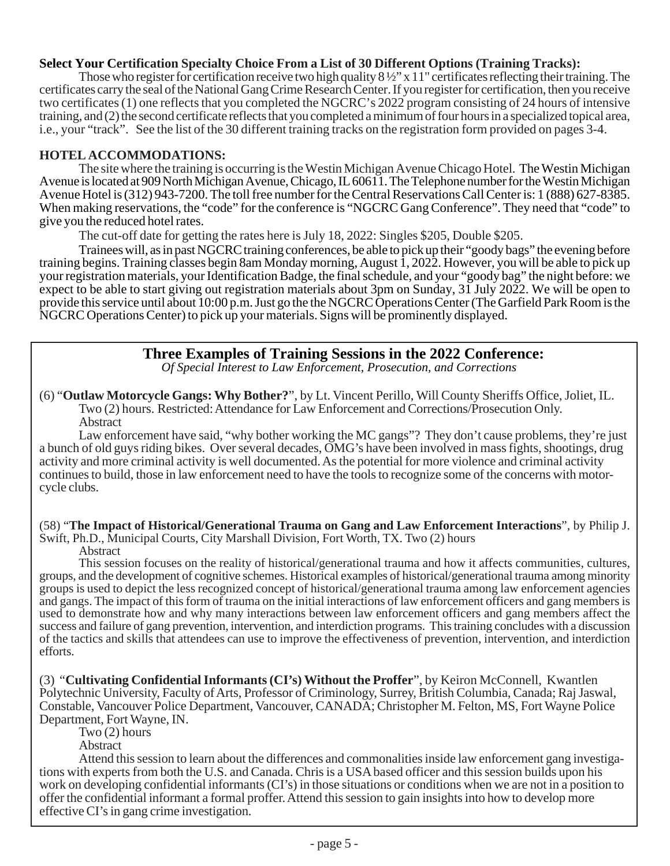### **Select Your Certification Specialty Choice From a List of 30 Different Options (Training Tracks):**

Those who register for certification receive two high quality  $8\frac{1}{2}$  x 11" certificates reflecting their training. The certificates carry the seal of the National Gang Crime Research Center. If you register for certification, then you receive two certificates (1) one reflects that you completed the NGCRC's 2022 program consisting of 24 hours of intensive training, and (2) the second certificate reflects that you completed a minimum of four hours in a specialized topical area, i.e., your "track". See the list of the 30 different training tracks on the registration form provided on pages 3-4.

### **HOTEL ACCOMMODATIONS:**

The site where the training is occurring is the Westin Michigan Avenue Chicago Hotel. The Westin Michigan Avenue is located at 909 North Michigan Avenue, Chicago, IL 60611. The Telephone number for the Westin Michigan Avenue Hotel is (312) 943-7200. The toll free number for the Central Reservations Call Center is: 1 (888) 627-8385. When making reservations, the "code" for the conference is "NGCRC Gang Conference". They need that "code" to give you the reduced hotel rates.

The cut-off date for getting the rates here is July 18, 2022: Singles \$205, Double \$205.

Trainees will, as in past NGCRC training conferences, be able to pick up their "goody bags" the evening before training begins. Training classes begin 8am Monday morning, August 1, 2022. However, you will be able to pick up your registration materials, your Identification Badge, the final schedule, and your "goody bag" the night before: we expect to be able to start giving out registration materials about 3pm on Sunday, 31 July 2022. We will be open to provide this service until about 10:00 p.m. Just go the the NGCRC Operations Center (The Garfield Park Room is the NGCRC Operations Center) to pick up your materials. Signs will be prominently displayed.

# **Three Examples of Training Sessions in the 2022 Conference:**

*Of Special Interest to Law Enforcement, Prosecution, and Corrections*

(6) "**Outlaw Motorcycle Gangs: Why Bother?**", by Lt. Vincent Perillo, Will County Sheriffs Office, Joliet, IL. Two (2) hours. Restricted: Attendance for Law Enforcement and Corrections/Prosecution Only. Abstract

Law enforcement have said, "why bother working the MC gangs"? They don't cause problems, they're just a bunch of old guys riding bikes. Over several decades, OMG's have been involved in mass fights, shootings, drug activity and more criminal activity is well documented. As the potential for more violence and criminal activity continues to build, those in law enforcement need to have the tools to recognize some of the concerns with motorcycle clubs.

(58) "**The Impact of Historical/Generational Trauma on Gang and Law Enforcement Interactions**", by Philip J. Swift, Ph.D., Municipal Courts, City Marshall Division, Fort Worth, TX. Two (2) hours

Abstract

This session focuses on the reality of historical/generational trauma and how it affects communities, cultures, groups, and the development of cognitive schemes. Historical examples of historical/generational trauma among minority groups is used to depict the less recognized concept of historical/generational trauma among law enforcement agencies and gangs. The impact of this form of trauma on the initial interactions of law enforcement officers and gang members is used to demonstrate how and why many interactions between law enforcement officers and gang members affect the success and failure of gang prevention, intervention, and interdiction programs. This training concludes with a discussion of the tactics and skills that attendees can use to improve the effectiveness of prevention, intervention, and interdiction efforts.

(3) "**Cultivating Confidential Informants (CI's) Without the Proffer**", by Keiron McConnell, Kwantlen Polytechnic University, Faculty of Arts, Professor of Criminology, Surrey, British Columbia, Canada; Raj Jaswal, Constable, Vancouver Police Department, Vancouver, CANADA; Christopher M. Felton, MS, Fort Wayne Police Department, Fort Wayne, IN.

Two (2) hours

**Abstract** 

Attend this session to learn about the differences and commonalities inside law enforcement gang investigations with experts from both the U.S. and Canada. Chris is a USA based officer and this session builds upon his work on developing confidential informants (CI's) in those situations or conditions when we are not in a position to offer the confidential informant a formal proffer. Attend this session to gain insights into how to develop more effective CI's in gang crime investigation.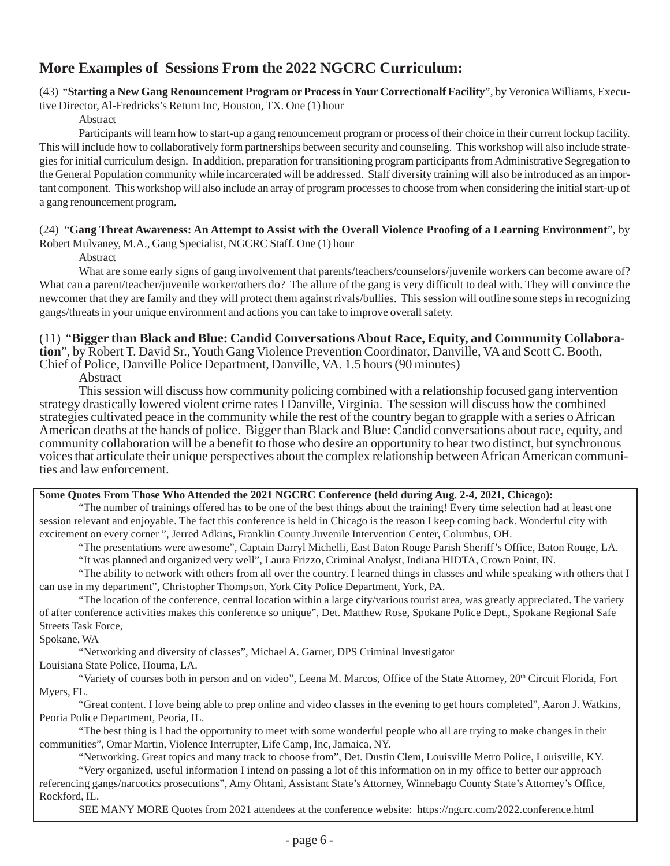# **More Examples of Sessions From the 2022 NGCRC Curriculum:**

(43) "**Starting a New Gang Renouncement Program or Process in Your Correctionalf Facility**", by Veronica Williams, Execu-

tive Director, Al-Fredricks's Return Inc, Houston, TX. One (1) hour

Abstract

Participants will learn how to start-up a gang renouncement program or process of their choice in their current lockup facility. This will include how to collaboratively form partnerships between security and counseling. This workshop will also include strategies for initial curriculum design. In addition, preparation for transitioning program participants from Administrative Segregation to the General Population community while incarcerated will be addressed. Staff diversity training will also be introduced as an important component. This workshop will also include an array of program processes to choose from when considering the initial start-up of a gang renouncement program.

### (24) "**Gang Threat Awareness: An Attempt to Assist with the Overall Violence Proofing of a Learning Environment**", by

Robert Mulvaney, M.A., Gang Specialist, NGCRC Staff. One (1) hour

Abstract

What are some early signs of gang involvement that parents/teachers/counselors/juvenile workers can become aware of? What can a parent/teacher/juvenile worker/others do? The allure of the gang is very difficult to deal with. They will convince the newcomer that they are family and they will protect them against rivals/bullies. This session will outline some steps in recognizing gangs/threats in your unique environment and actions you can take to improve overall safety.

### (11) "**Bigger than Black and Blue: Candid Conversations About Race, Equity, and Community Collabora-**

**tion**", by Robert T. David Sr., Youth Gang Violence Prevention Coordinator, Danville, VA and Scott C. Booth, Chief of Police, Danville Police Department, Danville, VA. 1.5 hours (90 minutes)

Abstract

This session will discuss how community policing combined with a relationship focused gang intervention strategy drastically lowered violent crime rates I Danville, Virginia. The session will discuss how the combined strategies cultivated peace in the community while the rest of the country began to grapple with a series o African American deaths at the hands of police. Bigger than Black and Blue: Candid conversations about race, equity, and community collaboration will be a benefit to those who desire an opportunity to hear two distinct, but synchronous voices that articulate their unique perspectives about the complex relationship between African American communities and law enforcement.

### **Some Quotes From Those Who Attended the 2021 NGCRC Conference (held during Aug. 2-4, 2021, Chicago):**

"The number of trainings offered has to be one of the best things about the training! Every time selection had at least one session relevant and enjoyable. The fact this conference is held in Chicago is the reason I keep coming back. Wonderful city with excitement on every corner ", Jerred Adkins, Franklin County Juvenile Intervention Center, Columbus, OH.

"The presentations were awesome", Captain Darryl Michelli, East Baton Rouge Parish Sheriff's Office, Baton Rouge, LA. "It was planned and organized very well", Laura Frizzo, Criminal Analyst, Indiana HIDTA, Crown Point, IN.

"The ability to network with others from all over the country. I learned things in classes and while speaking with others that I can use in my department", Christopher Thompson, York City Police Department, York, PA.

"The location of the conference, central location within a large city/various tourist area, was greatly appreciated. The variety of after conference activities makes this conference so unique", Det. Matthew Rose, Spokane Police Dept., Spokane Regional Safe Streets Task Force,

### Spokane, WA

"Networking and diversity of classes", Michael A. Garner, DPS Criminal Investigator

Louisiana State Police, Houma, LA.

"Variety of courses both in person and on video", Leena M. Marcos, Office of the State Attorney, 20<sup>th</sup> Circuit Florida, Fort Myers, FL.

"Great content. I love being able to prep online and video classes in the evening to get hours completed", Aaron J. Watkins, Peoria Police Department, Peoria, IL.

"The best thing is I had the opportunity to meet with some wonderful people who all are trying to make changes in their communities", Omar Martin, Violence Interrupter, Life Camp, Inc, Jamaica, NY.

"Networking. Great topics and many track to choose from", Det. Dustin Clem, Louisville Metro Police, Louisville, KY.

"Very organized, useful information I intend on passing a lot of this information on in my office to better our approach referencing gangs/narcotics prosecutions", Amy Ohtani, Assistant State's Attorney, Winnebago County State's Attorney's Office, Rockford, IL.

SEE MANY MORE Quotes from 2021 attendees at the conference website: https://ngcrc.com/2022.conference.html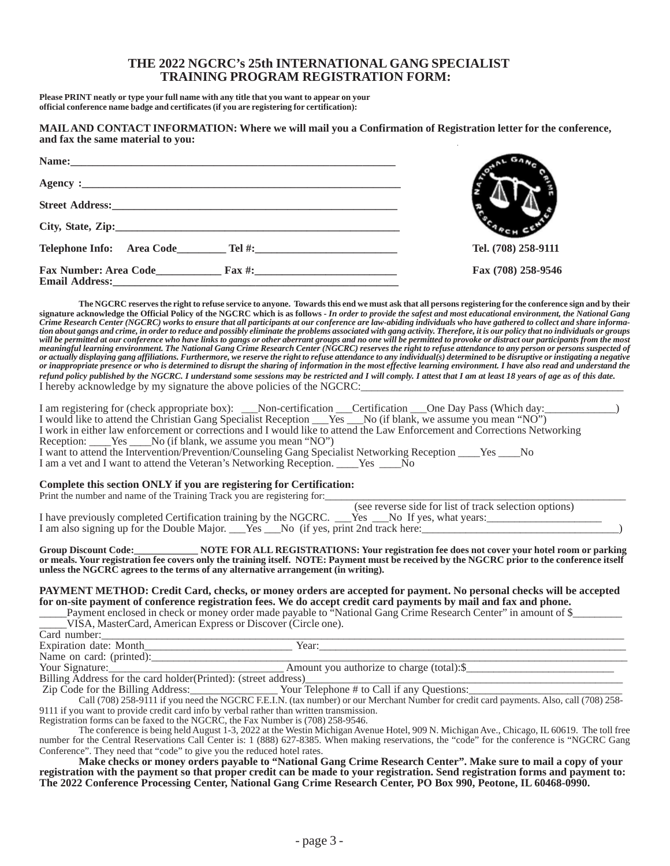### **THE 2022 NGCRC's 25th INTERNATIONAL GANG SPECIALIST TRAINING PROGRAM REGISTRATION FORM:**

**Please PRINT neatly or type your full name with any title that you want to appear on your official conference name badge and certificates (if you are registering for certification):**

#### **MAIL AND CONTACT INFORMATION: Where we will mail you a Confirmation of Registration letter for the conference, and fax the same material to you:**

| Telephone Info: Area Code Tel #:    | Tel. (708) 258-9111 |
|-------------------------------------|---------------------|
| <b>Fax Number: Area Code</b> Fax #: | Fax (708) 258-9546  |

**The NGCRC reserves the right to refuse service to anyone. Towards this end we must ask that all persons registering for the conference sign and by their** signature acknowledge the Official Policy of the NGCRC which is as follows - In order to provide the safest and most educational environment, the National Gang<br>Crime Research Center (NGCRC) works to ensure that all partici *tion about gangs and crime, in order to reduce and possibly eliminate the problems associated with gang activity. Therefore, it is our policy that no individuals or groups* will be permitted at our conference who have links to gangs or other aberrant groups and no one will be permitted to provoke or distract our participants from the most<br>meaningful learning environment. The National Gang Cri *or actually displaying gang affiliations. Furthermore, we reserve the right to refuse attendance to any individual(s) determined to be disruptive or instigating a negative or inappropriate presence or who is determined to disrupt the sharing of information in the most effective learning environment. I have also read and understand the refund policy published by the NGCRC. I understand some sessions may be restricted and I will comply. I attest that I am at least 18 years of age as of this date.* I hereby acknowledge by my signature the above policies of the NGCRC:

| I am registering for (check appropriate box): Non-certification Certification One Day Pass (Which day:                                           |                                                        |
|--------------------------------------------------------------------------------------------------------------------------------------------------|--------------------------------------------------------|
|                                                                                                                                                  |                                                        |
| I work in either law enforcement or corrections and I would like to attend the Law Enforcement and Corrections Networking                        |                                                        |
| Reception: _____Yes _____No (if blank, we assume you mean "NO")                                                                                  |                                                        |
| I want to attend the Intervention/Prevention/Counseling Gang Specialist Networking Reception ______ Yes _____ No                                 |                                                        |
| I am a vet and I want to attend the Veteran's Networking Reception. Yes No                                                                       |                                                        |
| Complete this section ONLY if you are registering for Certification:<br>Print the number and name of the Training Track you are registering for: |                                                        |
|                                                                                                                                                  | (see reverse side for list of track selection options) |

|                                                                                                   | (see reverse side for fist of track selection options) |
|---------------------------------------------------------------------------------------------------|--------------------------------------------------------|
| I have previously completed Certification training by the NGCRC. ___Yes ___No If yes, what years: |                                                        |
| I am also signing up for the Double Major. Ves No (if yes, print 2nd track here:                  |                                                        |

**Group Discount Code:\_\_\_\_\_\_\_\_\_\_\_\_\_ NOTE FOR ALL REGISTRATIONS: Your registration fee does not cover your hotel room or parking or meals. Your registration fee covers only the training itself. NOTE: Payment must be received by the NGCRC prior to the conference itself unless the NGCRC agrees to the terms of any alternative arrangement (in writing).**

### **PAYMENT METHOD: Credit Card, checks, or money orders are accepted for payment. No personal checks will be accepted for on-site payment of conference registration fees. We do accept credit card payments by mail and fax and phone.**

| Payment enclosed in check or money order made payable to "National Gang Crime Research Center" in amount of Q |
|---------------------------------------------------------------------------------------------------------------|
| MasterCard. American Express or Discover (Circle one).                                                        |
| Card                                                                                                          |
|                                                                                                               |

Expiration date: Month\_\_\_\_\_\_\_\_\_\_\_\_\_\_\_\_\_\_\_\_\_\_\_\_\_\_\_ Year:\_\_\_\_\_\_\_\_\_\_\_\_\_\_\_\_\_\_\_\_\_\_\_\_\_\_\_\_\_\_\_\_\_\_\_\_\_\_\_\_\_\_\_\_\_\_\_\_\_\_\_\_\_\_\_\_

Name on card: (printed):<br>Your Signature: Amount you authorize to charge (total):\$

Billing Address for the card holder(Printed): (street address)

Zip Code for the Billing Address:\_\_\_\_\_\_\_\_\_\_\_\_\_\_\_\_ Your Telephone # to Call if any Questions:\_\_\_\_\_\_\_\_\_\_\_\_\_\_\_\_\_\_\_\_\_\_\_\_\_\_\_\_

Call (708) 258-9111 if you need the NGCRC F.E.I.N. (tax number) or our Merchant Number for credit card payments. Also, call (708) 258- 9111 if you want to provide credit card info by verbal rather than written transmission.

Registration forms can be faxed to the NGCRC, the Fax Number is (708) 258-9546.

The conference is being held August 1-3, 2022 at the Westin Michigan Avenue Hotel, 909 N. Michigan Ave., Chicago, IL 60619. The toll free number for the Central Reservations Call Center is: 1 (888) 627-8385. When making reservations, the "code" for the conference is "NGCRC Gang Conference". They need that "code" to give you the reduced hotel rates.

**Make checks or money orders payable to "National Gang Crime Research Center". Make sure to mail a copy of your registration with the payment so that proper credit can be made to your registration. Send registration forms and payment to: The 2022 Conference Processing Center, National Gang Crime Research Center, PO Box 990, Peotone, IL 60468-0990.**